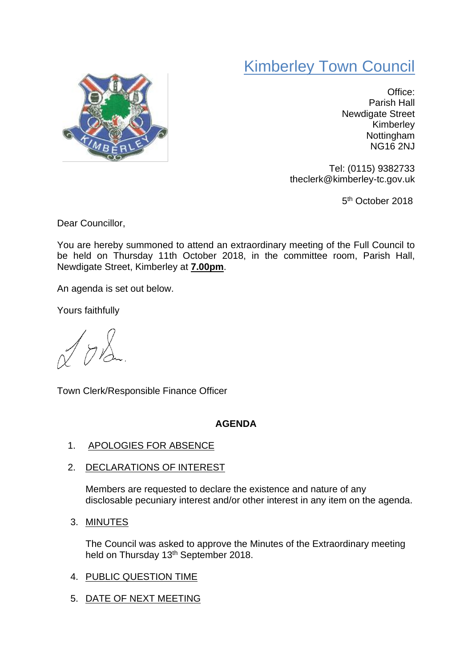## Kimberley Town Council



Office: Parish Hall Newdigate Street Kimberley Nottingham NG16 2NJ

Tel: (0115) 9382733 theclerk@kimberley-tc.gov.uk

5<sup>th</sup> October 2018

Dear Councillor,

You are hereby summoned to attend an extraordinary meeting of the Full Council to be held on Thursday 11th October 2018, in the committee room, Parish Hall, Newdigate Street, Kimberley at **7.00pm**.

An agenda is set out below.

Yours faithfully

 $7\lambda$ 

Town Clerk/Responsible Finance Officer

## **AGENDA**

- 1. APOLOGIES FOR ABSENCE
- 2. DECLARATIONS OF INTEREST

Members are requested to declare the existence and nature of any disclosable pecuniary interest and/or other interest in any item on the agenda.

3. MINUTES

The Council was asked to approve the Minutes of the Extraordinary meeting held on Thursday 13<sup>th</sup> September 2018.

- 4. PUBLIC QUESTION TIME
- 5. DATE OF NEXT MEETING